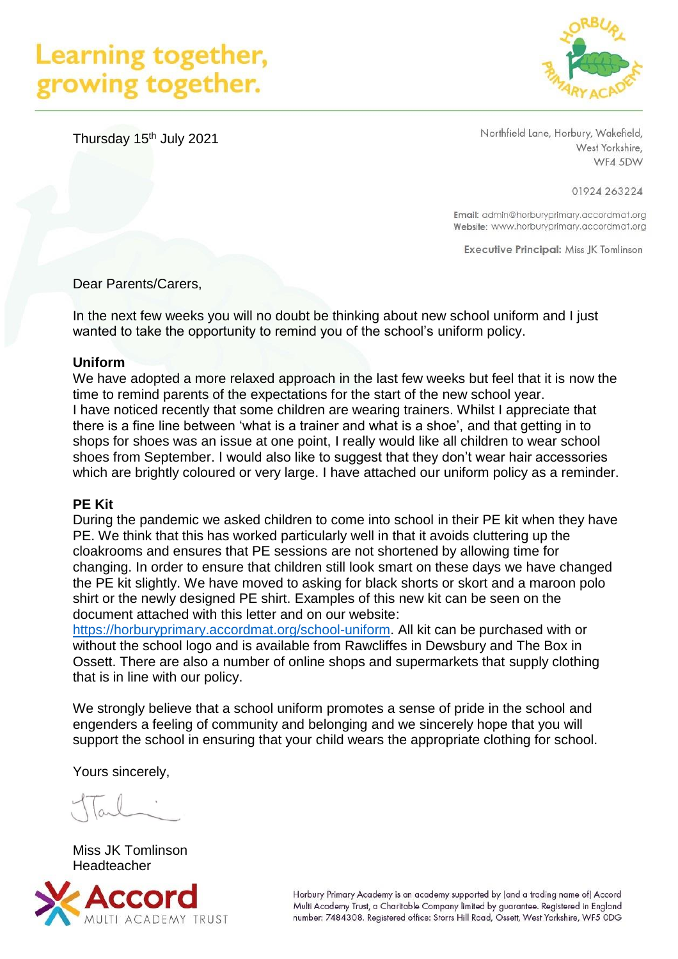# Learning together, growing together.



Thursday 15<sup>th</sup> July 2021

Northfield Lane, Horbury, Wakefield, West Yorkshire, WF4 5DW

01924 263224

Email: admin@horburyprimary.accordmat.org Website: www.horburyprimary.accordmat.org

**Executive Principal: Miss JK Tomlinson** 

Dear Parents/Carers,

In the next few weeks you will no doubt be thinking about new school uniform and I just wanted to take the opportunity to remind you of the school's uniform policy.

#### **Uniform**

We have adopted a more relaxed approach in the last few weeks but feel that it is now the time to remind parents of the expectations for the start of the new school year. I have noticed recently that some children are wearing trainers. Whilst I appreciate that there is a fine line between 'what is a trainer and what is a shoe', and that getting in to shops for shoes was an issue at one point, I really would like all children to wear school shoes from September. I would also like to suggest that they don't wear hair accessories which are brightly coloured or very large. I have attached our uniform policy as a reminder.

#### **PE Kit**

During the pandemic we asked children to come into school in their PE kit when they have PE. We think that this has worked particularly well in that it avoids cluttering up the cloakrooms and ensures that PE sessions are not shortened by allowing time for changing. In order to ensure that children still look smart on these days we have changed the PE kit slightly. We have moved to asking for black shorts or skort and a maroon polo shirt or the newly designed PE shirt. Examples of this new kit can be seen on the document attached with this letter and on our website:

[https://horburyprimary.accordmat.org/school-uniform.](https://horburyprimary.accordmat.org/school-uniform) All kit can be purchased with or without the school logo and is available from Rawcliffes in Dewsbury and The Box in Ossett. There are also a number of online shops and supermarkets that supply clothing that is in line with our policy.

We strongly believe that a school uniform promotes a sense of pride in the school and engenders a feeling of community and belonging and we sincerely hope that you will support the school in ensuring that your child wears the appropriate clothing for school.

Yours sincerely,

Miss JK Tomlinson **Headteacher** 



Horbury Primary Academy is an academy supported by (and a trading name of) Accord Multi Academy Trust, a Charitable Company limited by guarantee. Registered in England number: 7484308. Registered office: Storrs Hill Road, Ossett, West Yorkshire, WF5 ODG